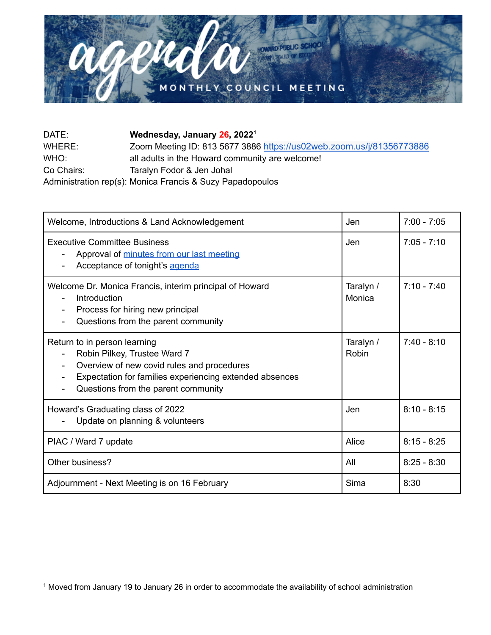

| DATE:      | Wednesday, January 26, 2022 <sup>1</sup>                             |
|------------|----------------------------------------------------------------------|
| WHERE:     | Zoom Meeting ID: 813 5677 3886 https://us02web.zoom.us/j/81356773886 |
| WHO:       | all adults in the Howard community are welcome!                      |
| Co Chairs: | Taralyn Fodor & Jen Johal                                            |
|            | Administration rep(s): Monica Francis & Suzy Papadopoulos            |

| Welcome, Introductions & Land Acknowledgement                                                                                                                                                                | Jen                 | $7:00 - 7:05$ |
|--------------------------------------------------------------------------------------------------------------------------------------------------------------------------------------------------------------|---------------------|---------------|
| <b>Executive Committee Business</b><br>Approval of minutes from our last meeting<br>Acceptance of tonight's agenda                                                                                           | Jen                 | $7:05 - 7:10$ |
| Welcome Dr. Monica Francis, interim principal of Howard<br>Introduction<br>Process for hiring new principal<br>Questions from the parent community                                                           | Taralyn /<br>Monica | $7:10 - 7:40$ |
| Return to in person learning<br>Robin Pilkey, Trustee Ward 7<br>Overview of new covid rules and procedures<br>Expectation for families experiencing extended absences<br>Questions from the parent community | Taralyn /<br>Robin  | $7:40 - 8:10$ |
| Howard's Graduating class of 2022<br>Update on planning & volunteers                                                                                                                                         | Jen                 | $8:10 - 8:15$ |
| PIAC / Ward 7 update                                                                                                                                                                                         | Alice               | $8:15 - 8:25$ |
| Other business?                                                                                                                                                                                              | All                 | $8:25 - 8:30$ |
| Adjournment - Next Meeting is on 16 February                                                                                                                                                                 | Sima                | 8:30          |

<sup>1</sup> Moved from January 19 to January 26 in order to accommodate the availability of school administration